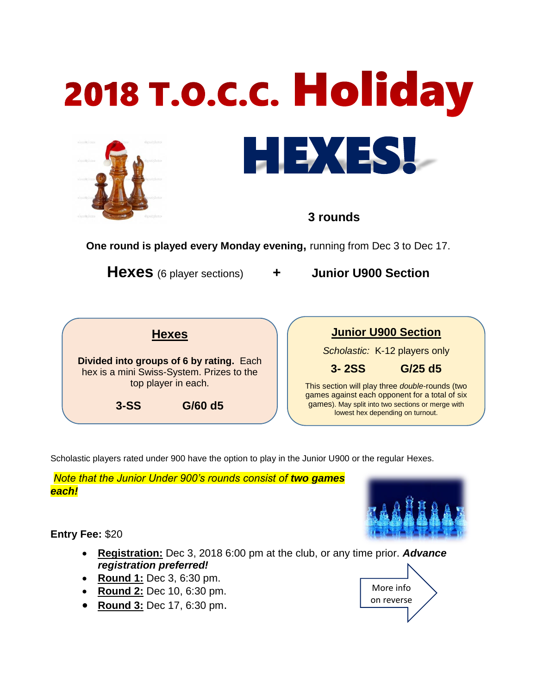

## **3 rounds**

**One round is played every Monday evening,** running from Dec 3 to Dec 17.

**Hexes** (6 player sections) **+ Junior U900 Section**

|                                                                                                              | <b>Hexes</b> |  |
|--------------------------------------------------------------------------------------------------------------|--------------|--|
| Divided into groups of 6 by rating. Each<br>hex is a mini Swiss-System. Prizes to the<br>top player in each. |              |  |
| $3-SS$                                                                                                       | $G/60$ d5    |  |

|  | <b>Junior U900 Section</b>    |  |
|--|-------------------------------|--|
|  | Scholastic: K-12 players only |  |

**3- 2SS G/25 d5**

This section will play three *double*-rounds (two games against each opponent for a total of six games). May split into two sections or merge with lowest hex depending on turnout.

Scholastic players rated under 900 have the option to play in the Junior U900 or the regular Hexes.

**Note that the Junior Under 900's rounds consist of two games** *each!*

**Entry Fee:** \$20

- **Registration:** Dec 3, 2018 6:00 pm at the club, or any time prior. *Advance registration preferred!*
- **Round 1:** Dec 3, 6:30 pm.
- **Round 2:** Dec 10, 6:30 pm.
- **Round 3:** Dec 17, 6:30 pm.